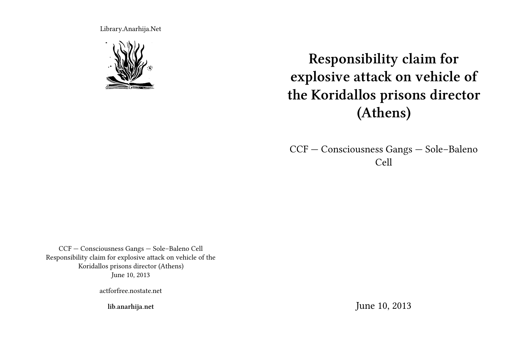Library.Anarhija.Net



**Responsibility claim for explosive attack on vehicle of the Koridallos prisons director (Athens)**

CCF — Consciousness Gangs — Sole–Baleno Cell

CCF — Consciousness Gangs — Sole–Baleno Cell Responsibility claim for explosive attack on vehicle of the Koridallos prisons director (Athens) June 10, 2013

actforfree.nostate.net

**lib.anarhija.net**

June 10, 2013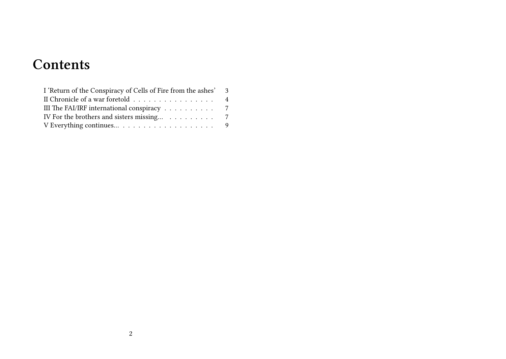# **Contents**

| I 'Return of the Conspiracy of Cells of Fire from the ashes' 3         |  |
|------------------------------------------------------------------------|--|
| II Chronicle of a war foretold 4                                       |  |
| III The FAI/IRF international conspiracy $\ldots \ldots \ldots \ldots$ |  |
| IV For the brothers and sisters missing 7                              |  |
|                                                                        |  |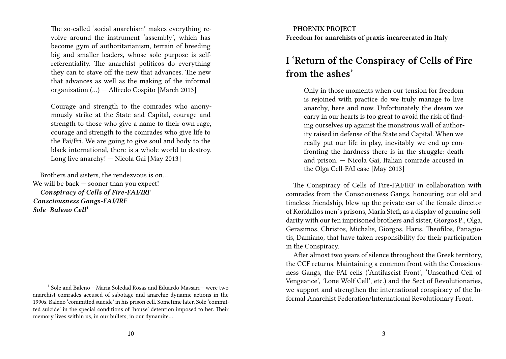The so-called 'social anarchism' makes everything revolve around the instrument 'assembly', which has become gym of authoritarianism, terrain of breeding big and smaller leaders, whose sole purpose is selfreferentiality. The anarchist politicos do everything they can to stave off the new that advances. The new that advances as well as the making of the informal organization (…) — Alfredo Cospito [March 2013]

Courage and strength to the comrades who anonymously strike at the State and Capital, courage and strength to those who give a name to their own rage, courage and strength to the comrades who give life to the Fai/Fri. We are going to give soul and body to the black international, there is a whole world to destroy. Long live anarchy! — Nicola Gai [May 2013]

Brothers and sisters, the rendezvous is on… We will be back — sooner than you expect! *Conspiracy of Cells of Fire-FAI/IRF Consciousness Gangs-FAI/IRF Sole–Baleno Cell*<sup>1</sup>

**PHOENIX PROJECT Freedom for anarchists of praxis incarcerated in Italy**

# **I 'Return of the Conspiracy of Cells of Fire from the ashes'**

Only in those moments when our tension for freedom is rejoined with practice do we truly manage to live anarchy, here and now. Unfortunately the dream we carry in our hearts is too great to avoid the risk of finding ourselves up against the monstrous wall of authority raised in defense of the State and Capital. When we really put our life in play, inevitably we end up confronting the hardness there is in the struggle: death and prison. — Nicola Gai, Italian comrade accused in the Olga Cell-FAI case [May 2013]

The Conspiracy of Cells of Fire-FAI/IRF in collaboration with comrades from the Consciousness Gangs, honouring our old and timeless friendship, blew up the private car of the female director of Koridallos men's prisons, Maria Stefi, as a display of genuine solidarity with our ten imprisoned brothers and sister, Giorgos P., Olga, Gerasimos, Christos, Michalis, Giorgos, Haris, Theofilos, Panagiotis, Damiano, that have taken responsibility for their participation in the Conspiracy.

After almost two years of silence throughout the Greek territory, the CCF returns. Maintaining a common front with the Consciousness Gangs, the FAI cells ('Antifascist Front', 'Unscathed Cell of Vengeance', 'Lone Wolf Cell', etc.) and the Sect of Revolutionaries, we support and strengthen the international conspiracy of the Informal Anarchist Federation/International Revolutionary Front.

<sup>&</sup>lt;sup>1</sup> Sole and Baleno  $-Maria$  Soledad Rosas and Eduardo Massari- were two anarchist comrades accused of sabotage and anarchic dynamic actions in the 1990s. Baleno 'committed suicide' in his prison cell. Sometime later, Sole 'committed suicide' in the special conditions of 'house' detention imposed to her. Their memory lives within us, in our bullets, in our dynamite…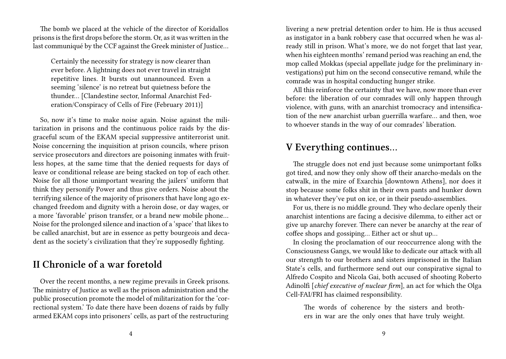The bomb we placed at the vehicle of the director of Koridallos prisons is the first drops before the storm. Or, as it was written in the last communiqué by the CCF against the Greek minister of Justice…

Certainly the necessity for strategy is now clearer than ever before. A lightning does not ever travel in straight repetitive lines. It bursts out unannounced. Even a seeming 'silence' is no retreat but quietness before the thunder… [Clandestine sector, Informal Anarchist Federation/Conspiracy of Cells of Fire (February 2011)]

So, now it's time to make noise again. Noise against the militarization in prisons and the continuous police raids by the disgraceful scum of the EKAM special suppressive antiterrorist unit. Noise concerning the inquisition at prison councils, where prison service prosecutors and directors are poisoning inmates with fruitless hopes, at the same time that the denied requests for days of leave or conditional release are being stacked on top of each other. Noise for all those unimportant wearing the jailers' uniform that think they personify Power and thus give orders. Noise about the terrifying silence of the majority of prisoners that have long ago exchanged freedom and dignity with a heroin dose, or day wages, or a more 'favorable' prison transfer, or a brand new mobile phone… Noise for the prolonged silence and inaction of a 'space' that likes to be called anarchist, but are in essence as petty bourgeois and decadent as the society's civilization that they're supposedly fighting.

## **II Chronicle of a war foretold**

Over the recent months, a new regime prevails in Greek prisons. The ministry of Justice as well as the prison administration and the public prosecution promote the model of militarization for the 'correctional system.' To date there have been dozens of raids by fully armed EKAM cops into prisoners' cells, as part of the restructuring

livering a new pretrial detention order to him. He is thus accused as instigator in a bank robbery case that occurred when he was already still in prison. What's more, we do not forget that last year, when his eighteen months' remand period was reaching an end, the mop called Mokkas (special appellate judge for the preliminary investigations) put him on the second consecutive remand, while the comrade was in hospital conducting hunger strike.

All this reinforce the certainty that we have, now more than ever before: the liberation of our comrades will only happen through violence, with guns, with an anarchist tromocracy and intensification of the new anarchist urban guerrilla warfare… and then, woe to whoever stands in the way of our comrades' liberation.

#### **V Everything continues…**

The struggle does not end just because some unimportant folks got tired, and now they only show off their anarcho-medals on the catwalk, in the mire of Exarchia [downtown Athens], nor does it stop because some folks shit in their own pants and hunker down in whatever they've put on ice, or in their pseudo-assemblies.

For us, there is no middle ground. They who declare openly their anarchist intentions are facing a decisive dilemma, to either act or give up anarchy forever. There can never be anarchy at the rear of coffee shops and gossiping… Either act or shut up…

In closing the proclamation of our reoccurrence along with the Consciousness Gangs, we would like to dedicate our attack with all our strength to our brothers and sisters imprisoned in the Italian State's cells, and furthermore send out our conspirative signal to Alfredo Cospito and Nicola Gai, both accused of shooting Roberto Adinolfi [*chief executive of nuclear firm*], an act for which the Olga Cell-FAI/FRI has claimed responsibility.

The words of coherence by the sisters and brothers in war are the only ones that have truly weight.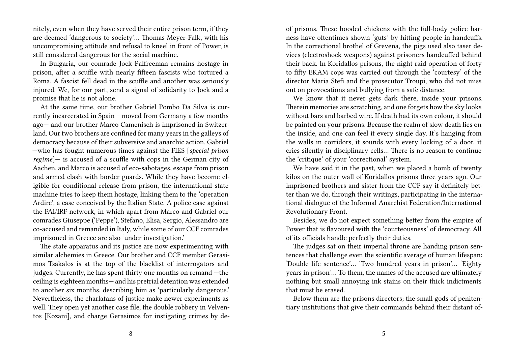nitely, even when they have served their entire prison term, if they are deemed 'dangerous to society'… Thomas Meyer-Falk, with his uncompromising attitude and refusal to kneel in front of Power, is still considered dangerous for the social machine.

In Bulgaria, our comrade Jock Palfreeman remains hostage in prison, after a scuffle with nearly fifteen fascists who tortured a Roma. A fascist fell dead in the scuffle and another was seriously injured. We, for our part, send a signal of solidarity to Jock and a promise that he is not alone.

At the same time, our brother Gabriel Pombo Da Silva is currently incarcerated in Spain —moved from Germany a few months ago— and our brother Marco Camenisch is imprisoned in Switzerland. Our two brothers are confined for many years in the galleys of democracy because of their subversive and anarchic action. Gabriel —who has fought numerous times against the FIES [*special prison regime*]— is accused of a scuffle with cops in the German city of Aachen, and Marco is accused of eco-sabotages, escape from prison and armed clash with border guards. While they have become eligible for conditional release from prison, the international state machine tries to keep them hostage, linking them to the 'operation Ardire', a case conceived by the Italian State. A police case against the FAI/IRF network, in which apart from Marco and Gabriel our comrades Giuseppe ('Peppe'), Stefano, Elisa, Sergio, Alessandro are co-accused and remanded in Italy, while some of our CCF comrades imprisoned in Greece are also 'under investigation.'

The state apparatus and its justice are now experimenting with similar alchemies in Greece. Our brother and CCF member Gerasimos Tsakalos is at the top of the blacklist of interrogators and judges. Currently, he has spent thirty one months on remand —the ceiling is eighteen months— and his pretrial detention was extended to another six months, describing him as 'particularly dangerous.' Nevertheless, the charlatans of justice make newer experiments as well. They open yet another case file, the double robbery in Velventos [Kozani], and charge Gerasimos for instigating crimes by de-

of prisons. These hooded chickens with the full-body police harness have oftentimes shown 'guts' by hitting people in handcuffs. In the correctional brothel of Grevena, the pigs used also taser devices (electroshock weapons) against prisoners handcuffed behind their back. In Koridallos prisons, the night raid operation of forty to fifty EKAM cops was carried out through the 'courtesy' of the director Maria Stefi and the prosecutor Troupi, who did not miss out on provocations and bullying from a safe distance.

We know that it never gets dark there, inside your prisons. Therein memories are scratching, and one forgets how the sky looks without bars and barbed wire. If death had its own colour, it should be painted on your prisons. Because the realm of slow death lies on the inside, and one can feel it every single day. It's hanging from the walls in corridors, it sounds with every locking of a door, it cries silently in disciplinary cells… There is no reason to continue the 'critique' of your 'correctional' system.

We have said it in the past, when we placed a bomb of twenty kilos on the outer wall of Koridallos prisons three years ago. Our imprisoned brothers and sister from the CCF say it definitely better than we do, through their writings, participating in the international dialogue of the Informal Anarchist Federation/International Revolutionary Front.

Besides, we do not expect something better from the empire of Power that is flavoured with the 'courteousness' of democracy. All of its officials handle perfectly their duties.

The judges sat on their imperial throne are handing prison sentences that challenge even the scientific average of human lifespan: 'Double life sentence'… 'Two hundred years in prison'… 'Eighty years in prison'… To them, the names of the accused are ultimately nothing but small annoying ink stains on their thick indictments that must be erased.

Below them are the prisons directors; the small gods of penitentiary institutions that give their commands behind their distant of